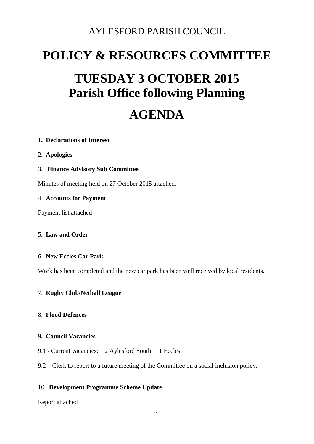### AYLESFORD PARISH COUNCIL

## **POLICY & RESOURCES COMMITTEE**

# **TUESDAY 3 OCTOBER 2015 Parish Office following Planning**

## **AGENDA**

#### **1. Declarations of Interest**

- **2. Apologies**
- 3. **Finance Advisory Sub Committee**

Minutes of meeting held on 27 October 2015 attached.

#### 4. **Accounts for Payment**

Payment list attached

#### 5**. Law and Order**

#### 6**. New Eccles Car Park**

Work has been completed and the new car park has been well received by local residents.

#### 7. **Rugby Club/Netball League**

#### 8. **Flood Defences**

#### 9**. Council Vacancies**

9.1 - Current vacancies: 2 Aylesford South 1 Eccles

#### 9.2 – Clerk to report to a future meeting of the Committee on a social inclusion policy.

#### 10. **Development Programme Scheme Update**

Report attached